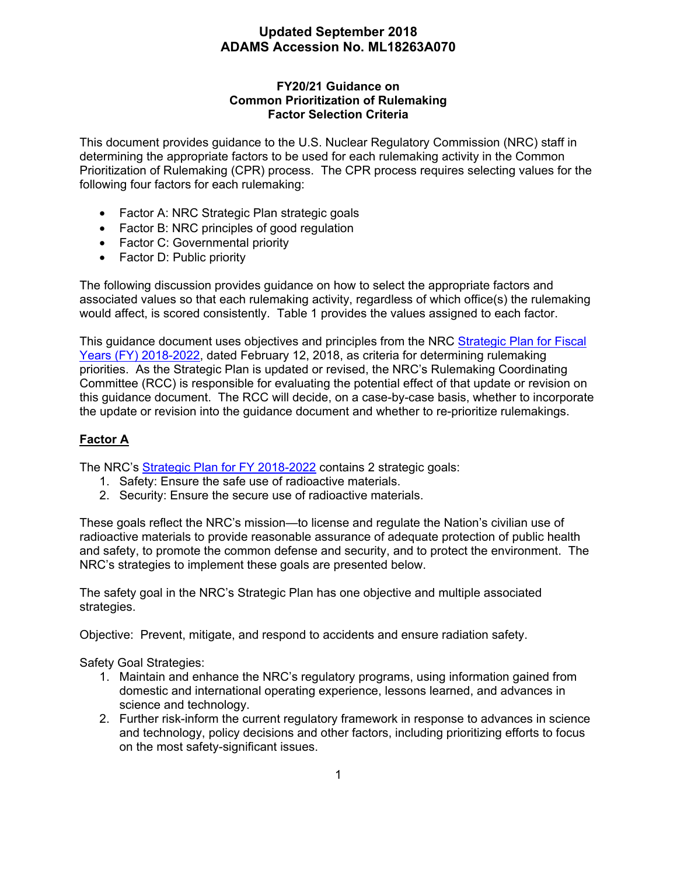#### **FY20/21 Guidance on Common Prioritization of Rulemaking Factor Selection Criteria**

This document provides guidance to the U.S. Nuclear Regulatory Commission (NRC) staff in determining the appropriate factors to be used for each rulemaking activity in the Common Prioritization of Rulemaking (CPR) process. The CPR process requires selecting values for the following four factors for each rulemaking:

- Factor A: NRC Strategic Plan strategic goals
- Factor B: NRC principles of good regulation
- Factor C: Governmental priority
- Factor D: Public priority

The following discussion provides guidance on how to select the appropriate factors and associated values so that each rulemaking activity, regardless of which office(s) the rulemaking would affect, is scored consistently. Table 1 provides the values assigned to each factor.

This guidance document uses objectives and principles from the NRC Strategic Plan for Fiscal Years (FY) 2018-2022, dated February 12, 2018, as criteria for determining rulemaking priorities. As the Strategic Plan is updated or revised, the NRC's Rulemaking Coordinating Committee (RCC) is responsible for evaluating the potential effect of that update or revision on this guidance document. The RCC will decide, on a case-by-case basis, whether to incorporate the update or revision into the guidance document and whether to re-prioritize rulemakings.

#### **Factor A**

The NRC's Strategic Plan for FY 2018-2022 contains 2 strategic goals:

- 1. Safety: Ensure the safe use of radioactive materials.
- 2. Security: Ensure the secure use of radioactive materials.

These goals reflect the NRC's mission—to license and regulate the Nation's civilian use of radioactive materials to provide reasonable assurance of adequate protection of public health and safety, to promote the common defense and security, and to protect the environment. The NRC's strategies to implement these goals are presented below.

The safety goal in the NRC's Strategic Plan has one objective and multiple associated strategies.

Objective: Prevent, mitigate, and respond to accidents and ensure radiation safety.

Safety Goal Strategies:

- 1. Maintain and enhance the NRC's regulatory programs, using information gained from domestic and international operating experience, lessons learned, and advances in science and technology.
- 2. Further risk-inform the current regulatory framework in response to advances in science and technology, policy decisions and other factors, including prioritizing efforts to focus on the most safety-significant issues.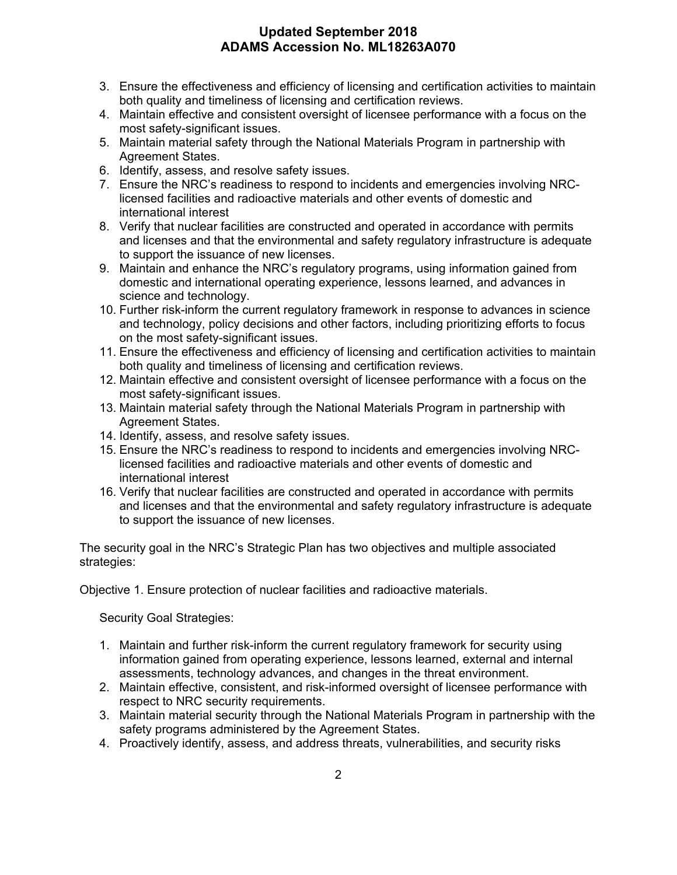- 3. Ensure the effectiveness and efficiency of licensing and certification activities to maintain both quality and timeliness of licensing and certification reviews.
- 4. Maintain effective and consistent oversight of licensee performance with a focus on the most safety-significant issues.
- 5. Maintain material safety through the National Materials Program in partnership with Agreement States.
- 6. Identify, assess, and resolve safety issues.
- 7. Ensure the NRC's readiness to respond to incidents and emergencies involving NRClicensed facilities and radioactive materials and other events of domestic and international interest
- 8. Verify that nuclear facilities are constructed and operated in accordance with permits and licenses and that the environmental and safety regulatory infrastructure is adequate to support the issuance of new licenses.
- 9. Maintain and enhance the NRC's regulatory programs, using information gained from domestic and international operating experience, lessons learned, and advances in science and technology.
- 10. Further risk-inform the current regulatory framework in response to advances in science and technology, policy decisions and other factors, including prioritizing efforts to focus on the most safety-significant issues.
- 11. Ensure the effectiveness and efficiency of licensing and certification activities to maintain both quality and timeliness of licensing and certification reviews.
- 12. Maintain effective and consistent oversight of licensee performance with a focus on the most safety-significant issues.
- 13. Maintain material safety through the National Materials Program in partnership with Agreement States.
- 14. Identify, assess, and resolve safety issues.
- 15. Ensure the NRC's readiness to respond to incidents and emergencies involving NRClicensed facilities and radioactive materials and other events of domestic and international interest
- 16. Verify that nuclear facilities are constructed and operated in accordance with permits and licenses and that the environmental and safety regulatory infrastructure is adequate to support the issuance of new licenses.

The security goal in the NRC's Strategic Plan has two objectives and multiple associated strategies:

Objective 1. Ensure protection of nuclear facilities and radioactive materials.

Security Goal Strategies:

- 1. Maintain and further risk-inform the current regulatory framework for security using information gained from operating experience, lessons learned, external and internal assessments, technology advances, and changes in the threat environment.
- 2. Maintain effective, consistent, and risk-informed oversight of licensee performance with respect to NRC security requirements.
- 3. Maintain material security through the National Materials Program in partnership with the safety programs administered by the Agreement States.
- 4. Proactively identify, assess, and address threats, vulnerabilities, and security risks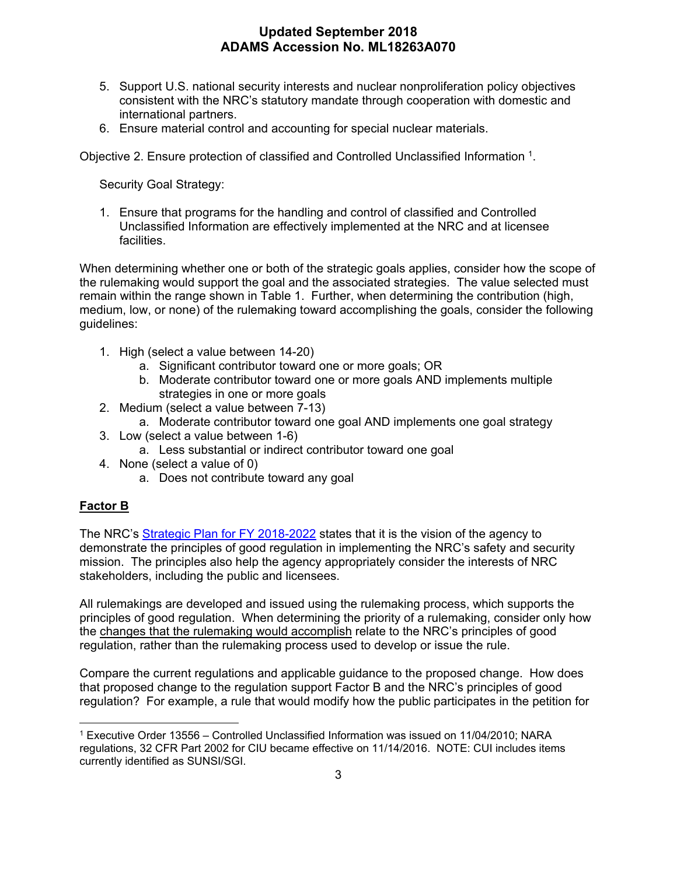- 5. Support U.S. national security interests and nuclear nonproliferation policy objectives consistent with the NRC's statutory mandate through cooperation with domestic and international partners.
- 6. Ensure material control and accounting for special nuclear materials.

Objective 2. Ensure protection of classified and Controlled Unclassified Information 1.

Security Goal Strategy:

1. Ensure that programs for the handling and control of classified and Controlled Unclassified Information are effectively implemented at the NRC and at licensee facilities.

When determining whether one or both of the strategic goals applies, consider how the scope of the rulemaking would support the goal and the associated strategies. The value selected must remain within the range shown in Table 1. Further, when determining the contribution (high, medium, low, or none) of the rulemaking toward accomplishing the goals, consider the following guidelines:

- 1. High (select a value between 14-20)
	- a. Significant contributor toward one or more goals; OR
	- b. Moderate contributor toward one or more goals AND implements multiple strategies in one or more goals
- 2. Medium (select a value between 7-13)
	- a. Moderate contributor toward one goal AND implements one goal strategy
- 3. Low (select a value between 1-6)
	- a. Less substantial or indirect contributor toward one goal
- 4. None (select a value of 0)
	- a. Does not contribute toward any goal

### **Factor B**

 $\overline{a}$ 

The NRC's Strategic Plan for FY 2018-2022 states that it is the vision of the agency to demonstrate the principles of good regulation in implementing the NRC's safety and security mission. The principles also help the agency appropriately consider the interests of NRC stakeholders, including the public and licensees.

All rulemakings are developed and issued using the rulemaking process, which supports the principles of good regulation. When determining the priority of a rulemaking, consider only how the changes that the rulemaking would accomplish relate to the NRC's principles of good regulation, rather than the rulemaking process used to develop or issue the rule.

Compare the current regulations and applicable guidance to the proposed change. How does that proposed change to the regulation support Factor B and the NRC's principles of good regulation? For example, a rule that would modify how the public participates in the petition for

<sup>1</sup> Executive Order 13556 – Controlled Unclassified Information was issued on 11/04/2010; NARA regulations, 32 CFR Part 2002 for CIU became effective on 11/14/2016. NOTE: CUI includes items currently identified as SUNSI/SGI.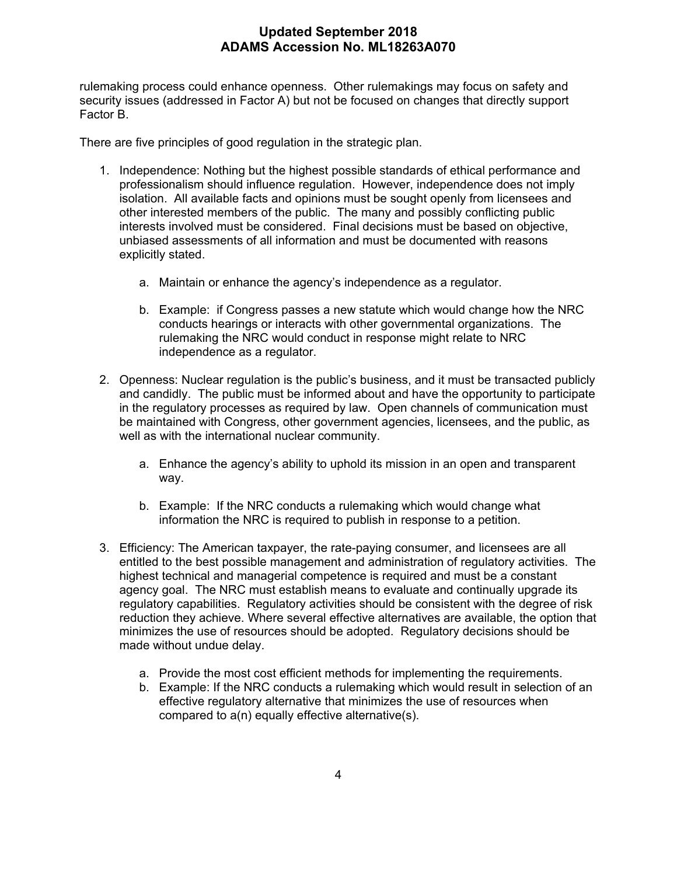rulemaking process could enhance openness. Other rulemakings may focus on safety and security issues (addressed in Factor A) but not be focused on changes that directly support Factor B.

There are five principles of good regulation in the strategic plan.

- 1. Independence: Nothing but the highest possible standards of ethical performance and professionalism should influence regulation. However, independence does not imply isolation. All available facts and opinions must be sought openly from licensees and other interested members of the public. The many and possibly conflicting public interests involved must be considered. Final decisions must be based on objective, unbiased assessments of all information and must be documented with reasons explicitly stated.
	- a. Maintain or enhance the agency's independence as a regulator.
	- b. Example: if Congress passes a new statute which would change how the NRC conducts hearings or interacts with other governmental organizations. The rulemaking the NRC would conduct in response might relate to NRC independence as a regulator.
- 2. Openness: Nuclear regulation is the public's business, and it must be transacted publicly and candidly. The public must be informed about and have the opportunity to participate in the regulatory processes as required by law. Open channels of communication must be maintained with Congress, other government agencies, licensees, and the public, as well as with the international nuclear community.
	- a. Enhance the agency's ability to uphold its mission in an open and transparent way.
	- b. Example: If the NRC conducts a rulemaking which would change what information the NRC is required to publish in response to a petition.
- 3. Efficiency: The American taxpayer, the rate-paying consumer, and licensees are all entitled to the best possible management and administration of regulatory activities. The highest technical and managerial competence is required and must be a constant agency goal. The NRC must establish means to evaluate and continually upgrade its regulatory capabilities. Regulatory activities should be consistent with the degree of risk reduction they achieve. Where several effective alternatives are available, the option that minimizes the use of resources should be adopted. Regulatory decisions should be made without undue delay.
	- a. Provide the most cost efficient methods for implementing the requirements.
	- b. Example: If the NRC conducts a rulemaking which would result in selection of an effective regulatory alternative that minimizes the use of resources when compared to a(n) equally effective alternative(s).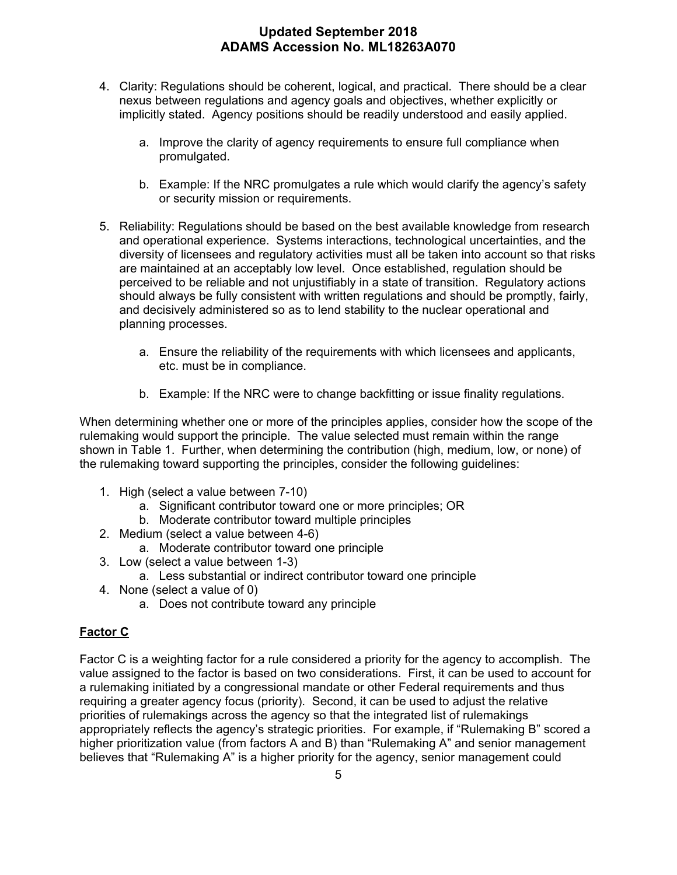- 4. Clarity: Regulations should be coherent, logical, and practical. There should be a clear nexus between regulations and agency goals and objectives, whether explicitly or implicitly stated. Agency positions should be readily understood and easily applied.
	- a. Improve the clarity of agency requirements to ensure full compliance when promulgated.
	- b. Example: If the NRC promulgates a rule which would clarify the agency's safety or security mission or requirements.
- 5. Reliability: Regulations should be based on the best available knowledge from research and operational experience. Systems interactions, technological uncertainties, and the diversity of licensees and regulatory activities must all be taken into account so that risks are maintained at an acceptably low level. Once established, regulation should be perceived to be reliable and not unjustifiably in a state of transition. Regulatory actions should always be fully consistent with written regulations and should be promptly, fairly, and decisively administered so as to lend stability to the nuclear operational and planning processes.
	- a. Ensure the reliability of the requirements with which licensees and applicants, etc. must be in compliance.
	- b. Example: If the NRC were to change backfitting or issue finality regulations.

When determining whether one or more of the principles applies, consider how the scope of the rulemaking would support the principle. The value selected must remain within the range shown in Table 1. Further, when determining the contribution (high, medium, low, or none) of the rulemaking toward supporting the principles, consider the following guidelines:

- 1. High (select a value between 7-10)
	- a. Significant contributor toward one or more principles; OR
	- b. Moderate contributor toward multiple principles
- 2. Medium (select a value between 4-6)
	- a. Moderate contributor toward one principle
- 3. Low (select a value between 1-3)
	- a. Less substantial or indirect contributor toward one principle
- 4. None (select a value of 0)
	- a. Does not contribute toward any principle

### **Factor C**

Factor C is a weighting factor for a rule considered a priority for the agency to accomplish. The value assigned to the factor is based on two considerations. First, it can be used to account for a rulemaking initiated by a congressional mandate or other Federal requirements and thus requiring a greater agency focus (priority). Second, it can be used to adjust the relative priorities of rulemakings across the agency so that the integrated list of rulemakings appropriately reflects the agency's strategic priorities. For example, if "Rulemaking B" scored a higher prioritization value (from factors A and B) than "Rulemaking A" and senior management believes that "Rulemaking A" is a higher priority for the agency, senior management could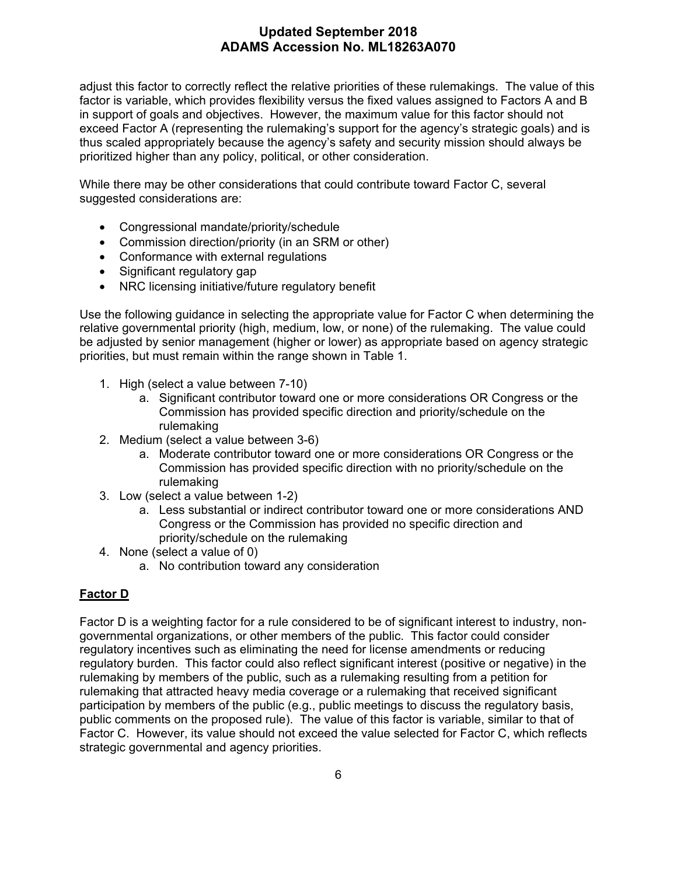adjust this factor to correctly reflect the relative priorities of these rulemakings. The value of this factor is variable, which provides flexibility versus the fixed values assigned to Factors A and B in support of goals and objectives. However, the maximum value for this factor should not exceed Factor A (representing the rulemaking's support for the agency's strategic goals) and is thus scaled appropriately because the agency's safety and security mission should always be prioritized higher than any policy, political, or other consideration.

While there may be other considerations that could contribute toward Factor C, several suggested considerations are:

- Congressional mandate/priority/schedule
- Commission direction/priority (in an SRM or other)
- Conformance with external regulations
- Significant regulatory gap
- NRC licensing initiative/future regulatory benefit

Use the following guidance in selecting the appropriate value for Factor C when determining the relative governmental priority (high, medium, low, or none) of the rulemaking. The value could be adjusted by senior management (higher or lower) as appropriate based on agency strategic priorities, but must remain within the range shown in Table 1.

- 1. High (select a value between 7-10)
	- a. Significant contributor toward one or more considerations OR Congress or the Commission has provided specific direction and priority/schedule on the rulemaking
- 2. Medium (select a value between 3-6)
	- a. Moderate contributor toward one or more considerations OR Congress or the Commission has provided specific direction with no priority/schedule on the rulemaking
- 3. Low (select a value between 1-2)
	- a. Less substantial or indirect contributor toward one or more considerations AND Congress or the Commission has provided no specific direction and priority/schedule on the rulemaking
- 4. None (select a value of 0)
	- a. No contribution toward any consideration

### **Factor D**

Factor D is a weighting factor for a rule considered to be of significant interest to industry, nongovernmental organizations, or other members of the public. This factor could consider regulatory incentives such as eliminating the need for license amendments or reducing regulatory burden. This factor could also reflect significant interest (positive or negative) in the rulemaking by members of the public, such as a rulemaking resulting from a petition for rulemaking that attracted heavy media coverage or a rulemaking that received significant participation by members of the public (e.g., public meetings to discuss the regulatory basis, public comments on the proposed rule). The value of this factor is variable, similar to that of Factor C. However, its value should not exceed the value selected for Factor C, which reflects strategic governmental and agency priorities.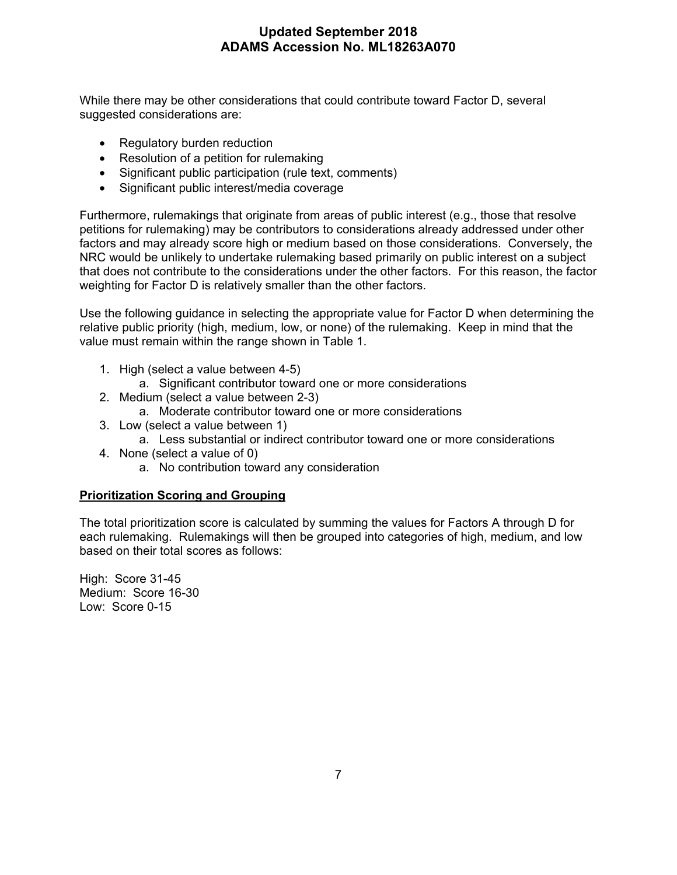While there may be other considerations that could contribute toward Factor D, several suggested considerations are:

- Regulatory burden reduction
- Resolution of a petition for rulemaking
- Significant public participation (rule text, comments)
- Significant public interest/media coverage

Furthermore, rulemakings that originate from areas of public interest (e.g., those that resolve petitions for rulemaking) may be contributors to considerations already addressed under other factors and may already score high or medium based on those considerations. Conversely, the NRC would be unlikely to undertake rulemaking based primarily on public interest on a subject that does not contribute to the considerations under the other factors. For this reason, the factor weighting for Factor D is relatively smaller than the other factors.

Use the following guidance in selecting the appropriate value for Factor D when determining the relative public priority (high, medium, low, or none) of the rulemaking. Keep in mind that the value must remain within the range shown in Table 1.

- 1. High (select a value between 4-5)
	- a. Significant contributor toward one or more considerations
- 2. Medium (select a value between 2-3)
	- a. Moderate contributor toward one or more considerations
- 3. Low (select a value between 1)
	- a. Less substantial or indirect contributor toward one or more considerations
- 4. None (select a value of 0)
	- a. No contribution toward any consideration

### **Prioritization Scoring and Grouping**

The total prioritization score is calculated by summing the values for Factors A through D for each rulemaking. Rulemakings will then be grouped into categories of high, medium, and low based on their total scores as follows:

High: Score 31-45 Medium: Score 16-30 Low: Score 0-15